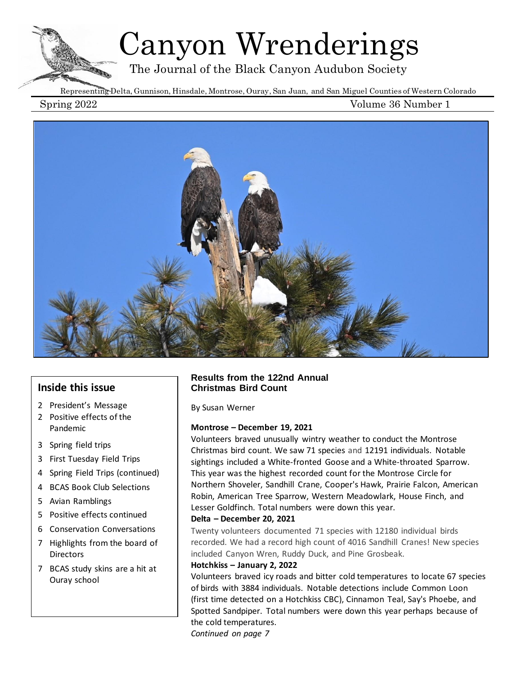# Canyon Wrenderings

The Journal of the Black Canyon Audubon Society

Representing Delta, Gunnison, Hinsdale, Montrose, Ouray, San Juan, and San Miguel Counties of Western Colorado

Spring 2022 Volume 36 Number 1



## **Inside this issue**

- 2 President's Message
- 2 Positive effects of the Pandemic
- 3 Spring field trips
- 3 First Tuesday Field Trips
- 4 Spring Field Trips (continued)
- 4 BCAS Book Club Selections
- 5 Avian Ramblings
- 5 Positive effects continued
- 6 Conservation Conversations
- 7 Highlights from the board of **Directors**
- 7 BCAS study skins are a hit at Ouray school

#### **Results from the 122nd Annual Christmas Bird Count**

By Susan Werner

#### **Montrose – December 19, 2021**

Volunteers braved unusually wintry weather to conduct the Montrose Christmas bird count. We saw 71 species and 12191 individuals. Notable sightings included a White-fronted Goose and a White-throated Sparrow. This year was the highest recorded count for the Montrose Circle for Northern Shoveler, Sandhill Crane, Cooper's Hawk, Prairie Falcon, American Robin, American Tree Sparrow, Western Meadowlark, House Finch, and Lesser Goldfinch. Total numbers were down this year.

#### **Delta – December 20, 2021**

Twenty volunteers documented 71 species with 12180 individual birds recorded. We had a record high count of 4016 Sandhill Cranes! New species included Canyon Wren, Ruddy Duck, and Pine Grosbeak.

#### **Hotchkiss – January 2, 2022**

Volunteers braved icy roads and bitter cold temperatures to locate 67 species of birds with 3884 individuals. Notable detections include Common Loon (first time detected on a Hotchkiss CBC), Cinnamon Teal, Say's Phoebe, and Spotted Sandpiper. Total numbers were down this year perhaps because of the cold temperatures.

*Continued on page 7*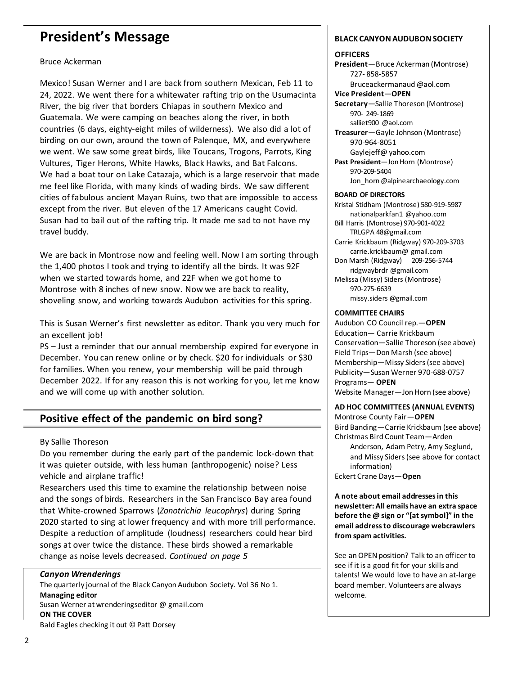## **President's Message**

#### Bruce Ackerman

Mexico! Susan Werner and I are back from southern Mexican, Feb 11 to 24, 2022. We went there for a whitewater rafting trip on the Usumacinta River, the big river that borders Chiapas in southern Mexico and Guatemala. We were camping on beaches along the river, in both countries (6 days, eighty-eight miles of wilderness). We also did a lot of birding on our own, around the town of Palenque, MX, and everywhere we went. We saw some great birds, like Toucans, Trogons, Parrots, King Vultures, Tiger Herons, White Hawks, Black Hawks, and Bat Falcons. We had a boat tour on Lake Catazaja, which is a large reservoir that made me feel like Florida, with many kinds of wading birds. We saw different cities of fabulous ancient Mayan Ruins, two that are impossible to access except from the river. But eleven of the 17 Americans caught Covid. Susan had to bail out of the rafting trip. It made me sad to not have my travel buddy.

We are back in Montrose now and feeling well. Now I am sorting through the 1,400 photos I took and trying to identify all the birds. It was 92F when we started towards home, and 22F when we got home to Montrose with 8 inches of new snow. Now we are back to reality, shoveling snow, and working towards Audubon activities for this spring.

This is Susan Werner's first newsletter as editor. Thank you very much for an excellent job!

PS – Just a reminder that our annual membership expired for everyone in December. You can renew online or by check. \$20 for individuals or \$30 for families. When you renew, your membership will be paid through December 2022. If for any reason this is not working for you, let me know and we will come up with another solution.

## **Positive effect of the pandemic on bird song?**

#### By Sallie Thoreson

Do you remember during the early part of the pandemic lock-down that it was quieter outside, with less human (anthropogenic) noise? Less vehicle and airplane traffic!

Researchers used this time to examine the relationship between noise and the songs of birds. Researchers in the San Francisco Bay area found that White-crowned Sparrows (*Zonotrichia leucophrys*) during Spring 2020 started to sing at lower frequency and with more trill performance. Despite a reduction of amplitude (loudness) researchers could hear bird songs at over twice the distance. These birds showed a remarkable change as noise levels decreased. *Continued on page 5*

#### *Canyon Wrenderings*

The quarterly journal of the Black Canyon Audubon Society. Vol 36 No 1. **Managing editor** Susan Werner at wrenderingseditor @ gmail.com **ON THE COVER** Bald Eagles checking it out © Patt Dorsey

#### **BLACK CANYON AUDUBON SOCIETY**

#### **OFFICERS**

**President**—Bruce Ackerman (Montrose) 727- 858-5857

Bruceackermanaud @aol.com **Vice President**—**OPEN**

**Secretary**—Sallie Thoreson (Montrose) 970- 249-1869 salliet900 @aol.com

**Treasurer**—Gayle Johnson (Montrose) 970-964-8051 Gaylejeff@ yahoo.com

**Past President**—Jon Horn (Montrose) 970-209-5404 Jon\_horn @alpinearchaeology.com

#### **BOARD OF DIRECTORS**

Kristal Stidham (Montrose) 580-919-5987 nationalparkfan1 @yahoo.com Bill Harris (Montrose) 970-901-4022 TRLGPA 48@gmail.com

Carrie Krickbaum (Ridgway) 970-209-3703 carrie.krickbaum@ gmail.com Don Marsh (Ridgway) 209-256-5744 ridgwaybrdr @gmail.com Melissa (Missy) Siders (Montrose) 970-275-6639 missy.siders @gmail.com

#### **COMMITTEE CHAIRS**

Audubon CO Council rep.—**OPEN** Education— Carrie Krickbaum Conservation—Sallie Thoreson (see above) Field Trips—Don Marsh (see above) Membership—Missy Siders (see above) Publicity—Susan Werner 970-688-0757 Programs— **OPEN** Website Manager—Jon Horn (see above)

#### **AD HOC COMMITTEES (ANNUAL EVENTS)**

Montrose County Fair—**OPEN** Bird Banding—Carrie Krickbaum (see above) Christmas Bird Count Team—Arden Anderson, Adam Petry, Amy Seglund, and Missy Siders (see above for contact information)

Eckert Crane Days—**Open**

**A note about email addresses in this newsletter: All emails have an extra space before the @ sign or "[at symbol]" in the email address to discourage webcrawlers from spam activities.**

See an OPEN position? Talk to an officer to see if it is a good fit for your skills and talents! We would love to have an at-large board member. Volunteers are always welcome.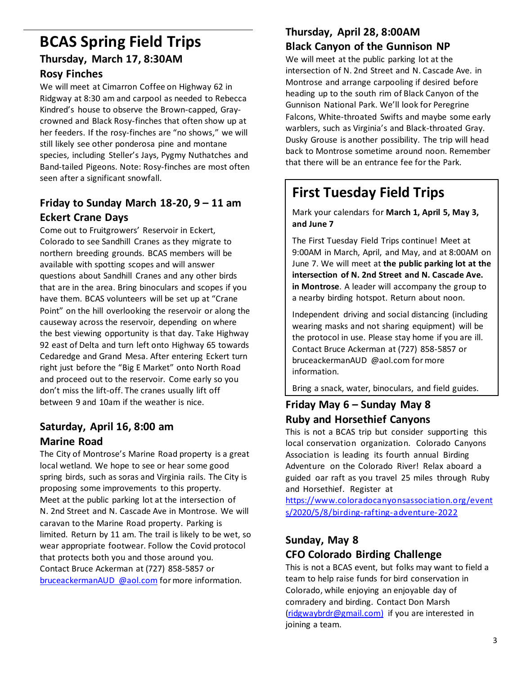## **BCAS Spring Field Trips Thursday, March 17, 8:30AM**

## **Rosy Finches**

We will meet at Cimarron Coffee on Highway 62 in Ridgway at 8:30 am and carpool as needed to Rebecca Kindred's house to observe the Brown-capped, Graycrowned and Black Rosy-finches that often show up at her feeders. If the rosy-finches are "no shows," we will still likely see other ponderosa pine and montane species, including Steller's Jays, Pygmy Nuthatches and Band-tailed Pigeons. Note: Rosy-finches are most often seen after a significant snowfall.

## **Friday to Sunday March 18-20, 9 – 11 am Eckert Crane Days**

Come out to Fruitgrowers' Reservoir in Eckert, Colorado to see Sandhill Cranes as they migrate to northern breeding grounds. BCAS members will be available with spotting scopes and will answer questions about Sandhill Cranes and any other birds that are in the area. Bring binoculars and scopes if you have them. BCAS volunteers will be set up at "Crane Point" on the hill overlooking the reservoir or along the causeway across the reservoir, depending on where the best viewing opportunity is that day. Take Highway 92 east of Delta and turn left onto Highway 65 towards Cedaredge and Grand Mesa. After entering Eckert turn right just before the "Big E Market" onto North Road and proceed out to the reservoir. Come early so you don't miss the lift-off. The cranes usually lift off between 9 and 10am if the weather is nice.

## **Saturday, April 16, 8:00 am Marine Road**

The City of Montrose's Marine Road property is a great local wetland. We hope to see or hear some good spring birds, such as soras and Virginia rails. The City is proposing some improvements to this property. Meet at the public parking lot at the intersection of N. 2nd Street and N. Cascade Ave in Montrose. We will caravan to the Marine Road property. Parking is limited. Return by 11 am. The trail is likely to be wet, so wear appropriate footwear. Follow the Covid protocol that protects both you and those around you. Contact Bruce Ackerman at (727) 858-5857 or [bruceackermanAUD](mailto:bruceackermanAUD@aol.com) @aol.com for more information.

## **Thursday, April 28, 8:00AM Black Canyon of the Gunnison NP**

We will meet at the public parking lot at the intersection of N. 2nd Street and N. Cascade Ave. in Montrose and arrange carpooling if desired before heading up to the south rim of Black Canyon of the Gunnison National Park. We'll look for Peregrine Falcons, White-throated Swifts and maybe some early warblers, such as Virginia's and Black-throated Gray. Dusky Grouse is another possibility. The trip will head back to Montrose sometime around noon. Remember that there will be an entrance fee for the Park.

## **First Tuesday Field Trips**

Mark your calendars for **March 1, April 5, May 3, and June 7**

The First Tuesday Field Trips continue! Meet at 9:00AM in March, April, and May, and at 8:00AM on June 7. We will meet at **the public parking lot at the intersection of N. 2nd Street and N. Cascade Ave. in Montrose**. A leader will accompany the group to a nearby birding hotspot. Return about noon.

Independent driving and social distancing (including wearing masks and not sharing equipment) will be the protocol in use. Please stay home if you are ill. Contact Bruce Ackerman at (727) 858-5857 or bruceackermanAUD @aol.com for more information.

Bring a snack, water, binoculars, and field guides.

## **Friday May 6 – Sunday May 8 Ruby and Horsethief Canyons**

This is not a BCAS trip but consider supporting this local conservation organization. Colorado Canyons Association is leading its fourth annual Birding Adventure on the Colorado River! Relax aboard a guided oar raft as you travel 25 miles through Ruby and Horsethief. Register at

[https://www.coloradocanyonsassociation.org/event](https://www.coloradocanyonsassociation.org/events/2020/5/8/birding-rafting-adventure-2022) [s/2020/5/8/birding-rafting-adventure-2022](https://www.coloradocanyonsassociation.org/events/2020/5/8/birding-rafting-adventure-2022)

## **Sunday, May 8 CFO Colorado Birding Challenge**

This is not a BCAS event, but folks may want to field a team to help raise funds for bird conservation in Colorado, while enjoying an enjoyable day of comradery and birding. Contact Don Marsh [\(ridgwaybrdr@gmail.com\)](mailto:ridgwaybrdr@gmail.com) if you are interested in joining a team.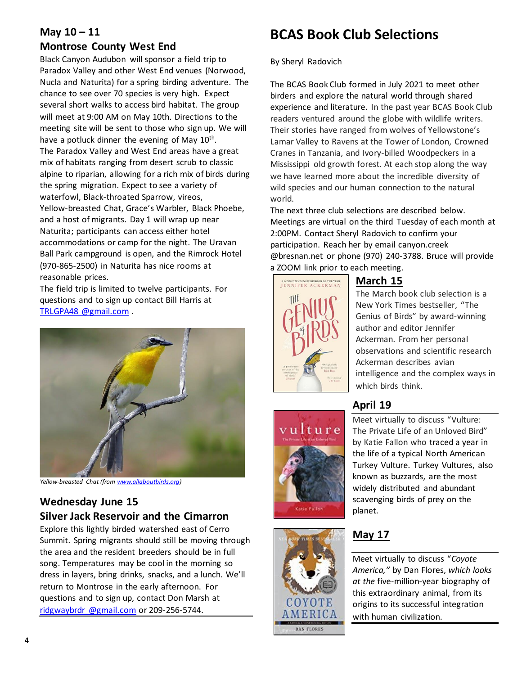## **May 10 – 11**

### **Montrose County West End**

Black Canyon Audubon will sponsor a field trip to Paradox Valley and other West End venues (Norwood, Nucla and Naturita) for a spring birding adventure. The chance to see over 70 species is very high. Expect several short walks to access bird habitat. The group will meet at 9:00 AM on May 10th. Directions to the meeting site will be sent to those who sign up. We will have a potluck dinner the evening of May 10<sup>th</sup>. The Paradox Valley and West End areas have a great mix of habitats ranging from desert scrub to classic alpine to riparian, allowing for a rich mix of birds during the spring migration. Expect to see a variety of waterfowl, Black-throated Sparrow, vireos, Yellow-breasted Chat, Grace's Warbler, Black Phoebe, and a host of migrants. Day 1 will wrap up near Naturita; participants can access either hotel accommodations or camp for the night. The Uravan Ball Park campground is open, and the Rimrock Hotel (970-865-2500) in Naturita has nice rooms at reasonable prices.

The field trip is limited to twelve participants. For questions and to sign up contact Bill Harris at TRLGPA48 [@gmail.com](mailto:trlgpa48@gmail.com) .



*Yellow-breasted Chat (fro[m www.allaboutbirds.org\)](http://www.allaboutbirds.org/)*

## **Wednesday June 15 Silver Jack Reservoir and the Cimarron**

Explore this lightly birded watershed east of Cerro Summit. Spring migrants should still be moving through the area and the resident breeders should be in full song. Temperatures may be cool in the morning so dress in layers, bring drinks, snacks, and a lunch. We'll return to Montrose in the early afternoon. For questions and to sign up, contact Don Marsh at ridgwaybrdr [@gmail.com](mailto:ridgwaybrdr@gmail.com) or 209-256-5744.

## **BCAS Book Club Selections**

By Sheryl Radovich

The BCAS Book Club formed in July 2021 to meet other birders and explore the natural world through shared experience and literature. In the past year BCAS Book Club readers ventured around the globe with wildlife writers. Their stories have ranged from wolves of Yellowstone's Lamar Valley to Ravens at the Tower of London, Crowned Cranes in Tanzania, and Ivory-billed Woodpeckers in a Mississippi old growth forest. At each stop along the way we have learned more about the incredible diversity of wild species and our human connection to the natural world.

The next three club selections are described below. Meetings are virtual on the third Tuesday of each month at 2:00PM. Contact Sheryl Radovich to confirm your participation. Reach her by emai[l canyon.creek](mailto:canyon.creek@bresnan.net) [@bresnan.net](mailto:canyon.creek@bresnan.net) or phone (970) 240-3788. Bruce will provide a ZOOM link prior to each meeting.



## **March 15**

The March book club selection is a New York Times bestseller, "The Genius of Birds" by award-winning author and editor Jennifer Ackerman. From her personal observations and scientific research Ackerman describes avian intelligence and the complex ways in which birds think.

## **April 19**





Meet virtually to discuss "Vulture: The Private Life of an Unloved Bird" by Katie Fallon who traced a year in the life of a typical North American Turkey Vulture. Turkey Vultures, also known as buzzards, are the most widely distributed and abundant scavenging birds of prey on the planet.

## **May 17**

Meet virtually to discuss "*Coyote America,"* by Dan Flores, *which looks at the* five-million-year biography of this extraordinary animal, from its origins to its successful integration with human civilization.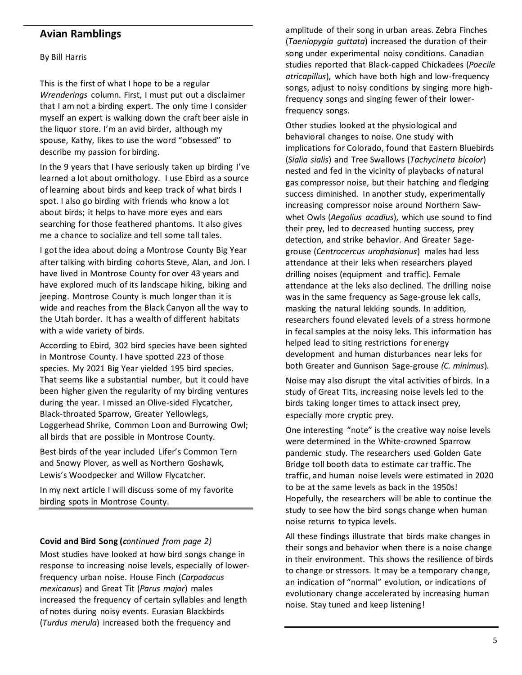### **Avian Ramblings**

#### By Bill Harris

This is the first of what I hope to be a regular *Wrenderings* column. First, I must put out a disclaimer that I am not a birding expert. The only time I consider myself an expert is walking down the craft beer aisle in the liquor store. I'm an avid birder, although my spouse, Kathy, likes to use the word "obsessed" to describe my passion for birding.

In the 9 years that I have seriously taken up birding I've learned a lot about ornithology. I use Ebird as a source of learning about birds and keep track of what birds I spot. I also go birding with friends who know a lot about birds; it helps to have more eyes and ears searching for those feathered phantoms. It also gives me a chance to socialize and tell some tall tales.

I got the idea about doing a Montrose County Big Year after talking with birding cohorts Steve, Alan, and Jon. I have lived in Montrose County for over 43 years and have explored much of its landscape hiking, biking and jeeping. Montrose County is much longer than it is wide and reaches from the Black Canyon all the way to the Utah border. It has a wealth of different habitats with a wide variety of birds.

According to Ebird, 302 bird species have been sighted in Montrose County. I have spotted 223 of those species. My 2021 Big Year yielded 195 bird species. That seems like a substantial number, but it could have been higher given the regularity of my birding ventures during the year. I missed an Olive-sided Flycatcher, Black-throated Sparrow, Greater Yellowlegs, Loggerhead Shrike, Common Loon and Burrowing Owl; all birds that are possible in Montrose County.

Best birds of the year included Lifer's Common Tern and Snowy Plover, as well as Northern Goshawk, Lewis's Woodpecker and Willow Flycatcher.

In my next article I will discuss some of my favorite birding spots in Montrose County.

#### **Covid and Bird Song (***continued from page 2)*

Most studies have looked at how bird songs change in response to increasing noise levels, especially of lowerfrequency urban noise. House Finch (*Carpodacus mexicanus*) and Great Tit (*Parus major*) males increased the frequency of certain syllables and length of notes during noisy events. Eurasian Blackbirds (*Turdus merula*) increased both the frequency and

amplitude of their song in urban areas. Zebra Finches (*Taeniopygia guttata*) increased the duration of their song under experimental noisy conditions. Canadian studies reported that Black-capped Chickadees (*Poecile atricapillus*), which have both high and low-frequency songs, adjust to noisy conditions by singing more highfrequency songs and singing fewer of their lowerfrequency songs.

Other studies looked at the physiological and behavioral changes to noise. One study with implications for Colorado, found that Eastern Bluebirds (*Sialia sialis*) and Tree Swallows (*Tachycineta bicolor*) nested and fed in the vicinity of playbacks of natural gas compressor noise, but their hatching and fledging success diminished. In another study, experimentally increasing compressor noise around Northern Sawwhet Owls (*Aegolius acadius*), which use sound to find their prey, led to decreased hunting success, prey detection, and strike behavior. And Greater Sagegrouse (*Centrocercus urophasianus*) males had less attendance at their leks when researchers played drilling noises (equipment and traffic). Female attendance at the leks also declined. The drilling noise was in the same frequency as Sage-grouse lek calls, masking the natural lekking sounds. In addition, researchers found elevated levels of a stress hormone in fecal samples at the noisy leks. This information has helped lead to siting restrictions for energy development and human disturbances near leks for both Greater and Gunnison Sage-grouse *(C. minimus*).

Noise may also disrupt the vital activities of birds. In a study of Great Tits, increasing noise levels led to the birds taking longer times to attack insect prey, especially more cryptic prey.

One interesting "note" is the creative way noise levels were determined in the White-crowned Sparrow pandemic study. The researchers used Golden Gate Bridge toll booth data to estimate car traffic. The traffic, and human noise levels were estimated in 2020 to be at the same levels as back in the 1950s! Hopefully, the researchers will be able to continue the study to see how the bird songs change when human noise returns to typica levels.

All these findings illustrate that birds make changes in their songs and behavior when there is a noise change in their environment. This shows the resilience of birds to change or stressors. It may be a temporary change, an indication of "normal" evolution, or indications of evolutionary change accelerated by increasing human noise. Stay tuned and keep listening!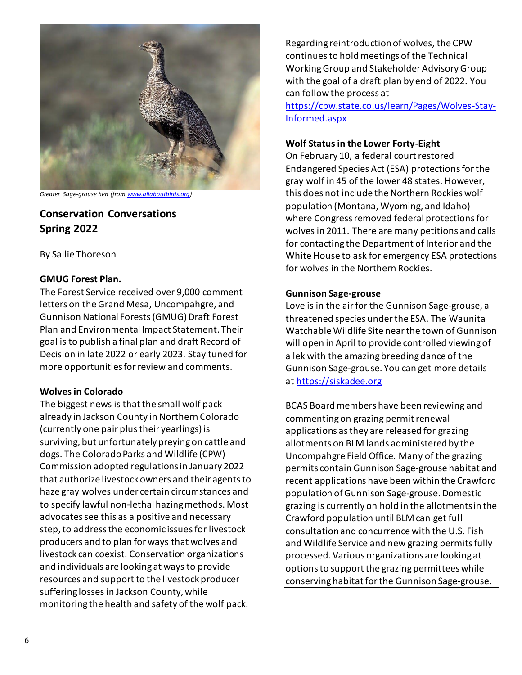

*Greater Sage-grouse hen (fro[m www.allaboutbirds.org\)](http://www.allaboutbirds.org/)*

## **Conservation Conversations Spring 2022**

By Sallie Thoreson

#### **GMUG Forest Plan.**

The Forest Service received over 9,000 comment letters on the Grand Mesa, Uncompahgre, and Gunnison National Forests (GMUG) Draft Forest Plan and Environmental Impact Statement. Their goal is to publish a final plan and draft Record of Decision in late 2022 or early 2023. Stay tuned for more opportunities for review and comments.

#### **Wolves in Colorado**

The biggest news is that the small wolf pack already in Jackson County in Northern Colorado (currently one pair plus their yearlings) is surviving, but unfortunately preying on cattle and dogs. The Colorado Parks and Wildlife (CPW) Commission adopted regulations in January 2022 that authorize livestock owners and their agents to haze gray wolves under certain circumstances and to specify lawful non-lethal hazing methods. Most advocates see this as a positive and necessary step, to address the economic issues for livestock producers and to plan for ways that wolves and livestock can coexist. Conservation organizations and individuals are looking at ways to provide resources and support to the livestock producer suffering losses in Jackson County, while monitoring the health and safety of the wolf pack.

Regarding reintroduction of wolves, the CPW continues to hold meetings of the Technical Working Group and Stakeholder Advisory Group with the goal of a draft plan by end of 2022. You can follow the process at

[https://cpw.state.co.us/learn/Pages/Wolves-Stay-](https://cpw.state.co.us/learn/Pages/Wolves-Stay-Informed.aspx)[Informed.aspx](https://cpw.state.co.us/learn/Pages/Wolves-Stay-Informed.aspx)

#### **Wolf Status in the Lower Forty-Eight**

On February 10, a federal court restored Endangered Species Act (ESA) protections for the gray wolf in 45 of the lower 48 states. However, this does not include the Northern Rockies wolf population (Montana, Wyoming, and Idaho) where Congress removed federal protections for wolves in 2011. There are many petitions and calls for contacting the Department of Interior and the White House to ask for emergency ESA protections for wolves in the Northern Rockies.

#### **Gunnison Sage-grouse**

Love is in the air for the Gunnison Sage-grouse, a threatened species under the ESA. The Waunita Watchable Wildlife Site near the town of Gunnison will open in April to provide controlled viewing of a lek with the amazing breeding dance of the Gunnison Sage-grouse. You can get more details at [https://siskadee.org](https://siskadee.org/)

BCAS Board members have been reviewing and commenting on grazing permit renewal applications as they are released for grazing allotments on BLM lands administered by the Uncompahgre Field Office. Many of the grazing permits contain Gunnison Sage-grouse habitat and recent applications have been within the Crawford population of Gunnison Sage-grouse. Domestic grazing is currently on hold in the allotments in the Crawford population until BLM can get full consultation and concurrence with the U.S. Fish and Wildlife Service and new grazing permits fully processed. Various organizations are looking at options to support the grazing permittees while conserving habitat for the Gunnison Sage-grouse.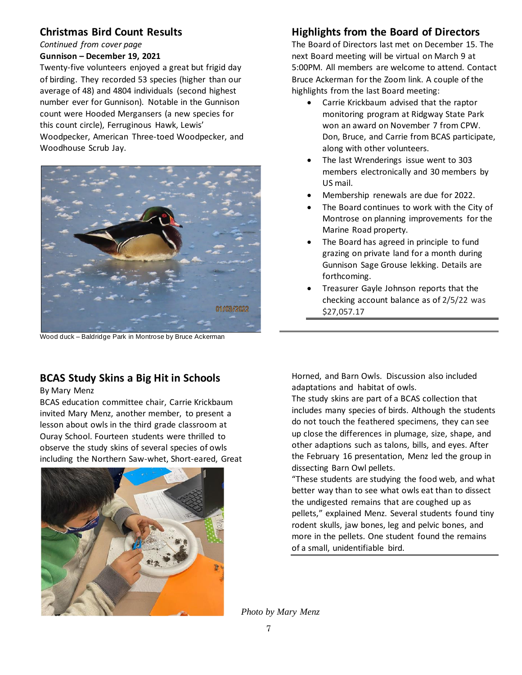## **Christmas Bird Count Results**

*Continued from cover page*

#### **Gunnison – December 19, 2021**

Twenty-five volunteers enjoyed a great but frigid day of birding. They recorded 53 species (higher than our average of 48) and 4804 individuals (second highest number ever for Gunnison). Notable in the Gunnison count were Hooded Mergansers (a new species for this count circle), Ferruginous Hawk, Lewis' Woodpecker, American Three-toed Woodpecker, and Woodhouse Scrub Jay.



Wood duck – Baldridge Park in Montrose by Bruce Ackerman

## **BCAS Study Skins a Big Hit in Schools**

By Mary Menz

BCAS education committee chair, Carrie Krickbaum invited Mary Menz, another member, to present a lesson about owls in the third grade classroom at Ouray School. Fourteen students were thrilled to observe the study skins of several species of owls including the Northern Saw-whet, Short-eared, Great



## **Highlights from the Board of Directors**

The Board of Directors last met on December 15. The next Board meeting will be virtual on March 9 at 5:00PM. All members are welcome to attend. Contact Bruce Ackerman for the Zoom link. A couple of the highlights from the last Board meeting:

- Carrie Krickbaum advised that the raptor monitoring program at Ridgway State Park won an award on November 7 from CPW. Don, Bruce, and Carrie from BCAS participate, along with other volunteers.
- The last Wrenderings issue went to 303 members electronically and 30 members by US mail.
- Membership renewals are due for 2022.
- The Board continues to work with the City of Montrose on planning improvements for the Marine Road property.
- The Board has agreed in principle to fund grazing on private land for a month during Gunnison Sage Grouse lekking. Details are forthcoming.
- Treasurer Gayle Johnson reports that the checking account balance as of 2/5/22 was \$27,057.17

Horned, and Barn Owls. Discussion also included adaptations and habitat of owls.

The study skins are part of a BCAS collection that includes many species of birds. Although the students do not touch the feathered specimens, they can see up close the differences in plumage, size, shape, and other adaptions such as talons, bills, and eyes. After the February 16 presentation, Menz led the group in dissecting Barn Owl pellets.

"These students are studying the food web, and what better way than to see what owls eat than to dissect the undigested remains that are coughed up as pellets," explained Menz. Several students found tiny rodent skulls, jaw bones, leg and pelvic bones, and more in the pellets. One student found the remains of a small, unidentifiable bird.

*Photo by Mary Menz*